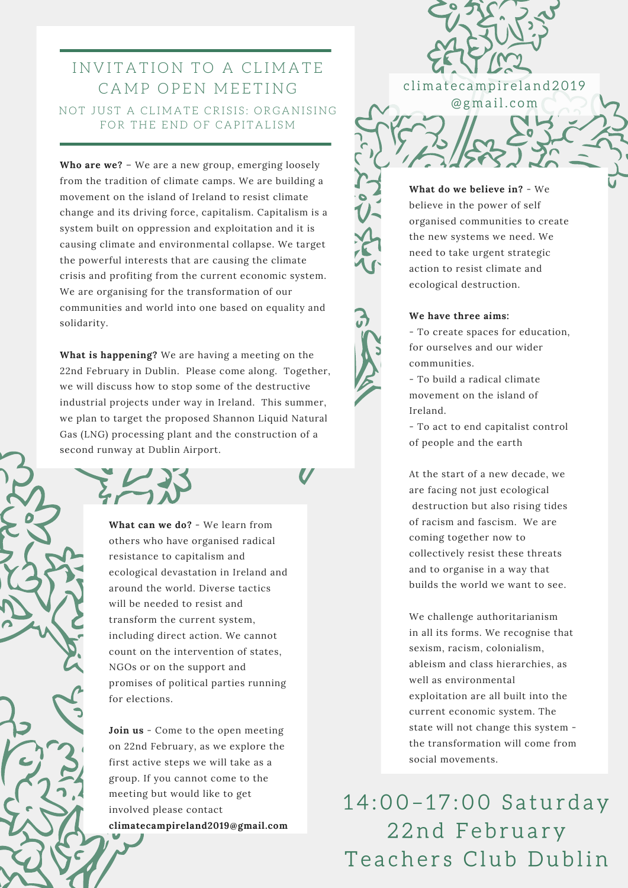## I N V I T A T I O N T O A CL I M A T E CAMP OPEN MEETING NOT JUST A CLIMATE CRISIS: ORGANISING FOR THE END OF CAPITALISM

**Who are we?** – We are a new group, emerging loosely from the tradition of climate camps. We are building a movement on the island of Ireland to resist climate change and its driving force, capitalism. Capitalism is a system built on oppression and exploitation and it is causing climate and environmental collapse. We target the powerful interests that are causing the climate crisis and profiting from the current economic system. We are organising for the transformation of our communities and world into one based on equality and solidarity.

**What is happening?** We are having a meeting on the 22nd February in Dublin. Please come along. Together, we will discuss how to stop some of the destructive industrial projects under way in Ireland. This summer, we plan to target the proposed Shannon Liquid Natural Gas (LNG) processing plant and the construction of a second runway at Dublin Airport.

> **What can we do?** - We learn from others who have organised radical resistance to capitalism and ecological devastation in Ireland and around the world. Diverse tactics will be needed to resist and transform the current system, including direct action. We cannot count on the intervention of states, NGOs or on the support and promises of political parties running for elections.

> **Join us** - Come to the open meeting on 22nd February, as we explore the first active steps we will take as a group. If you cannot come to the meeting but would like to get involved please contact **climatecampireland2019@gmail.com**

**What do we believe in?** - We believe in the power of self organised communities to create the new systems we need. We need to take urgent strategic action to resist climate and ecological destruction.

climate campireland 2019 @ g m a i l . c o m

## **We have three aims:**

- To create spaces for education, for ourselves and our wider communities.

- To build a radical climate movement on the island of Ireland.

- To act to end capitalist control of people and the earth

At the start of a new decade, we are facing not just ecological destruction but also rising tides of racism and fascism. We are coming together now to collectively resist these threats and to organise in a way that builds the world we want to see.

We challenge authoritarianism in all its forms. We recognise that sexism, racism, colonialism, ableism and class hierarchies, as well as environmental exploitation are all built into the current economic system. The state will not change this system the transformation will come from social movements.

14:00-17:00 Saturday 22nd February Teachers Club Dublin